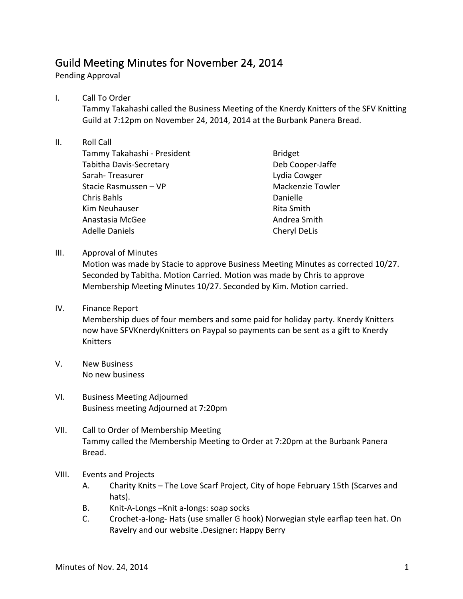## Guild Meeting Minutes for November 24, 2014

Pending Approval

## I. Call To Order

Tammy Takahashi called the Business Meeting of the Knerdy Knitters of the SFV Knitting Guild at 7:12pm on November 24, 2014, 2014 at the Burbank Panera Bread.

## II. Roll Call

Tammy Takahashi - President Tabitha Davis-Secretary Sarah- Treasurer Stacie Rasmussen - VP Chris Bahls Kim Neuhauser Anastasia McGee Adelle Daniels

Bridget Deb Cooper-Jaffe Lydia Cowger Mackenzie Towler Danielle Rita Smith Andrea Smith Cheryl DeLis

III. Approval of Minutes

Motion was made by Stacie to approve Business Meeting Minutes as corrected 10/27. Seconded by Tabitha. Motion Carried. Motion was made by Chris to approve Membership Meeting Minutes 10/27. Seconded by Kim. Motion carried.

- IV. Finance Report Membership dues of four members and some paid for holiday party. Knerdy Knitters now have SFVKnerdyKnitters on Paypal so payments can be sent as a gift to Knerdy Knitters
- V. New Business No new business
- VI. Business Meeting Adjourned Business meeting Adjourned at 7:20pm
- VII. Call to Order of Membership Meeting Tammy called the Membership Meeting to Order at 7:20pm at the Burbank Panera Bread.
- VIII. Events and Projects
	- A. Charity Knits The Love Scarf Project, City of hope February 15th (Scarves and hats).
	- B. Knit-A-Longs -Knit a-longs: soap socks
	- C. Crochet-a-long- Hats (use smaller G hook) Norwegian style earflap teen hat. On Ravelry and our website .Designer: Happy Berry